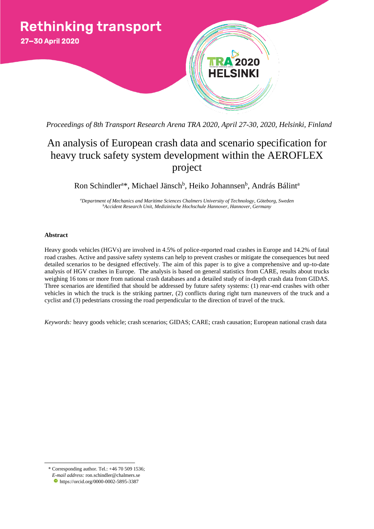

*Proceedings of 8th Transport Research Arena TRA 2020, April 27-30, 2020, Helsinki, Finland*

# An analysis of European crash data and scenario specification for heavy truck safety system development within the AEROFLEX project

Ron Schindler<sup>a\*</sup>, Michael Jänsch<sup>b</sup>, Heiko Johannsen<sup>b</sup>, András Bálint<sup>a</sup>

*<sup>a</sup>Department of Mechanics and Maritime Sciences Chalmers University of Technology, Göteborg, Sweden <sup>b</sup>Accident Research Unit, Medizinische Hochschule Hannover, Hannover, Germany*

# **Abstract**

Heavy goods vehicles (HGVs) are involved in 4.5% of police-reported road crashes in Europe and 14.2% of fatal road crashes. Active and passive safety systems can help to prevent crashes or mitigate the consequences but need detailed scenarios to be designed effectively. The aim of this paper is to give a comprehensive and up-to-date analysis of HGV crashes in Europe. The analysis is based on general statistics from CARE, results about trucks weighing 16 tons or more from national crash databases and a detailed study of in-depth crash data from GIDAS. Three scenarios are identified that should be addressed by future safety systems: (1) rear-end crashes with other vehicles in which the truck is the striking partner, (2) conflicts during right turn maneuvers of the truck and a cyclist and (3) pedestrians crossing the road perpendicular to the direction of travel of the truck.

*Keywords:* heavy goods vehicle; crash scenarios; GIDAS; CARE; crash causation; European national crash data

 $\overline{a}$ 

<sup>\*</sup> Corresponding author. Tel.: +46 70 509 1536;

*E-mail address:* [ron.schindler@chalmers.se](mailto:ron.schindler@chalmers.se)

https://orcid.org/0000-0002-5895-3387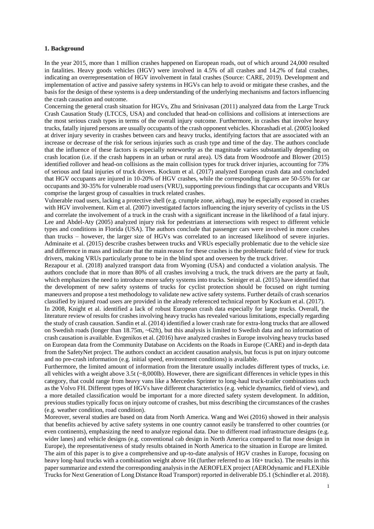## **1. Background**

In the year 2015, more than 1 million crashes happened on European roads, out of which around 24,000 resulted in fatalities. Heavy goods vehicles (HGV) were involved in 4.5% of all crashes and 14.2% of fatal crashes, indicating an overrepresentation of HGV involvement in fatal crashes (Source: CARE, 2019). Development and implementation of active and passive safety systems in HGVs can help to avoid or mitigate these crashes, and the basis for the design of these systems is a deep understanding of the underlying mechanisms and factors influencing the crash causation and outcome.

Concerning the general crash situation for HGVs, Zhu and Srinivasan (2011) analyzed data from the Large Truck Crash Causation Study (LTCCS, USA) and concluded that head-on collisions and collisions at intersections are the most serious crash types in terms of the overall injury outcome. Furthermore, in crashes that involve heavy trucks, fatally injured persons are usually occupants of the crash opponent vehicles. Khorashadi et al. (2005) looked at driver injury severity in crashes between cars and heavy trucks, identifying factors that are associated with an increase or decrease of the risk for serious injuries such as crash type and time of the day. The authors conclude that the influence of these factors is especially noteworthy as the magnitude varies substantially depending on crash location (i.e. if the crash happens in an urban or rural area). US data from Woodroofe and Blower (2015) identified rollover and head-on collisions as the main collision types for truck driver injuries, accounting for 73% of serious and fatal injuries of truck drivers. Kockum et al. (2017) analyzed European crash data and concluded that HGV occupants are injured in 10-20% of HGV crashes, while the corresponding figures are 50-55% for car occupants and 30-35% for vulnerable road users (VRU), supporting previous findings that car occupants and VRUs comprise the largest group of casualties in truck related crashes.

Vulnerable road users, lacking a protective shell (e.g. crumple zone, airbag), may be especially exposed in crashes with HGV involvement. Kim et al. (2007) investigated factors influencing the injury severity of cyclists in the US and correlate the involvement of a truck in the crash with a significant increase in the likelihood of a fatal injury. Lee and Abdel-Aty (2005) analyzed injury risk for pedestrians at intersections with respect to different vehicle types and conditions in Florida (USA). The authors conclude that passenger cars were involved in more crashes than trucks – however, the larger size of HGVs was correlated to an increased likelihood of severe injuries. Adminaite et al. (2015) describe crashes between trucks and VRUs especially problematic due to the vehicle size and difference in mass and indicate that the main reason for these crashes is the problematic field of view for truck drivers, making VRUs particularly prone to be in the blind spot and overseen by the truck driver.

Rezapour et al. (2018) analyzed transport data from Wyoming (USA) and conducted a violation analysis. The authors conclude that in more than 80% of all crashes involving a truck, the truck drivers are the party at fault, which emphasizes the need to introduce more safety systems into trucks. Seiniger et al. (2015) have identified that the development of new safety systems of trucks for cyclist protection should be focused on right turning maneuvers and propose a test methodology to validate new active safety systems. Further details of crash scenarios classified by injured road users are provided in the already referenced technical report by Kockum et al. (2017).

In 2008, Knight et al. identified a lack of robust European crash data especially for large trucks. Overall, the literature review of results for crashes involving heavy trucks has revealed various limitations, especially regarding the study of crash causation. Sandin et al. (2014) identified a lower crash rate for extra-long trucks that are allowed on Swedish roads (longer than 18.75m, ~62ft), but this analysis is limited to Swedish data and no information of crash causation is available. Evgenikos et al. (2016) have analyzed crashes in Europe involving heavy trucks based on European data from the Community Database on Accidents on the Roads in Europe (CARE) and in-depth data from the SafetyNet project. The authors conduct an accident causation analysis, but focus is put on injury outcome and no pre-crash information (e.g. initial speed, environment conditions) is available.

Furthermore, the limited amount of information from the literature usually includes different types of trucks, i.e. all vehicles with a weight above  $3.5t \left( \frac{8,000 \text{lb}}{8} \right)$ . However, there are significant differences in vehicle types in this category, that could range from heavy vans like a Mercedes Sprinter to long-haul truck-trailer combinations such as the Volvo FH. Different types of HGVs have different characteristics (e.g. vehicle dynamics, field of view), and a more detailed classification would be important for a more directed safety system development. In addition, previous studies typically focus on injury outcome of crashes, but miss describing the circumstances of the crashes (e.g. weather condition, road condition).

Moreover, several studies are based on data from North America. Wang and Wei (2016) showed in their analysis that benefits achieved by active safety systems in one country cannot easily be transferred to other countries (or even continents), emphasizing the need to analyze regional data. Due to different road infrastructure designs (e.g. wider lanes) and vehicle designs (e.g. conventional cab design in North America compared to flat nose design in Europe), the representativeness of study results obtained in North America to the situation in Europe are limited. The aim of this paper is to give a comprehensive and up-to-date analysis of HGV crashes in Europe, focusing on heavy long-haul trucks with a combination weight above 16t (further referred to as 16t+ trucks). The results in this paper summarize and extend the corresponding analysis in the AEROFLEX project (AEROdynamic and FLEXible Trucks for Next Generation of Long Distance Road Transport) reported in deliverable D5.1 (Schindler et al. 2018).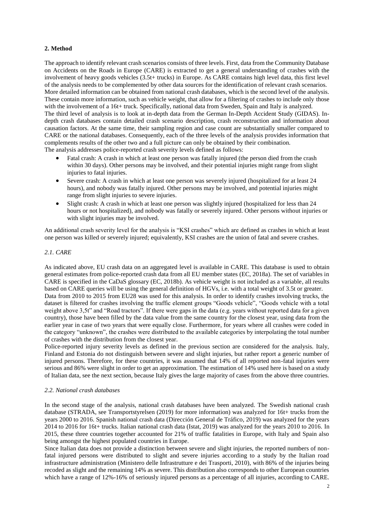# **2. Method**

The approach to identify relevant crash scenarios consists of three levels. First, data from the Community Database on Accidents on the Roads in Europe (CARE) is extracted to get a general understanding of crashes with the involvement of heavy goods vehicles (3.5t+ trucks) in Europe. As CARE contains high level data, this first level of the analysis needs to be complemented by other data sources for the identification of relevant crash scenarios. More detailed information can be obtained from national crash databases, which is the second level of the analysis. These contain more information, such as vehicle weight, that allow for a filtering of crashes to include only those with the involvement of a 16t+ truck. Specifically, national data from Sweden, Spain and Italy is analyzed. The third level of analysis is to look at in-depth data from the German In-Depth Accident Study (GIDAS). Indepth crash databases contain detailed crash scenario description, crash reconstruction and information about causation factors. At the same time, their sampling region and case count are substantially smaller compared to CARE or the national databases. Consequently, each of the three levels of the analysis provides information that complements results of the other two and a full picture can only be obtained by their combination. The analysis addresses police-reported crash severity levels defined as follows:

- Fatal crash: A crash in which at least one person was fatally injured (the person died from the crash within 30 days). Other persons may be involved, and their potential injuries might range from slight injuries to fatal injuries.
- Severe crash: A crash in which at least one person was severely injured (hospitalized for at least 24 hours), and nobody was fatally injured. Other persons may be involved, and potential injuries might range from slight injuries to severe injuries.
- Slight crash: A crash in which at least one person was slightly injured (hospitalized for less than 24 hours or not hospitalized), and nobody was fatally or severely injured. Other persons without injuries or with slight injuries may be involved.

An additional crash severity level for the analysis is "KSI crashes" which are defined as crashes in which at least one person was killed or severely injured; equivalently, KSI crashes are the union of fatal and severe crashes.

# *2.1. CARE*

As indicated above, EU crash data on an aggregated level is available in CARE. This database is used to obtain general estimates from police-reported crash data from all EU member states (EC, 2018a). The set of variables in CARE is specified in the CaDaS glossary (EC, 2018b). As vehicle weight is not included as a variable, all results based on CARE queries will be using the general definition of HGVs, i.e. with a total weight of 3.5t or greater. Data from 2010 to 2015 from EU28 was used for this analysis. In order to identify crashes involving trucks, the dataset is filtered for crashes involving the traffic element groups "Goods vehicle", "Goods vehicle with a total weight above 3,5t" and "Road tractors". If there were gaps in the data (e.g. years without reported data for a given country), those have been filled by the data value from the same country for the closest year, using data from the earlier year in case of two years that were equally close. Furthermore, for years where all crashes were coded in the category "unknown", the crashes were distributed to the available categories by interpolating the total number of crashes with the distribution from the closest year.

Police-reported injury severity levels as defined in the previous section are considered for the analysis. Italy, Finland and Estonia do not distinguish between severe and slight injuries, but rather report a generic number of injured persons. Therefore, for these countries, it was assumed that 14% of all reported non-fatal injuries were serious and 86% were slight in order to get an approximation. The estimation of 14% used here is based on a study of Italian data, see the next section, because Italy gives the large majority of cases from the above three countries.

## <span id="page-2-0"></span>*2.2. National crash databases*

In the second stage of the analysis, national crash databases have been analyzed. The Swedish national crash database (STRADA, see Transportstyrelsen (2019) for more information) was analyzed for 16t+ trucks from the years 2000 to 2016. Spanish national crash data (Dirección General de Tráfico, 2019) was analyzed for the years 2014 to 2016 for 16t+ trucks. Italian national crash data (Istat, 2019) was analyzed for the years 2010 to 2016. In 2015, these three countries together accounted for 21% of traffic fatalities in Europe, with Italy and Spain also being amongst the highest populated countries in Europe.

Since Italian data does not provide a distinction between severe and slight injuries, the reported numbers of nonfatal injured persons were distributed to slight and severe injuries according to a study by the Italian road infrastructure administration (Ministero delle Infrastrutture e dei Trasporti, 2010), with 86% of the injuries being recoded as slight and the remaining 14% as severe. This distribution also corresponds to other European countries which have a range of 12%-16% of seriously injured persons as a percentage of all injuries, according to CARE.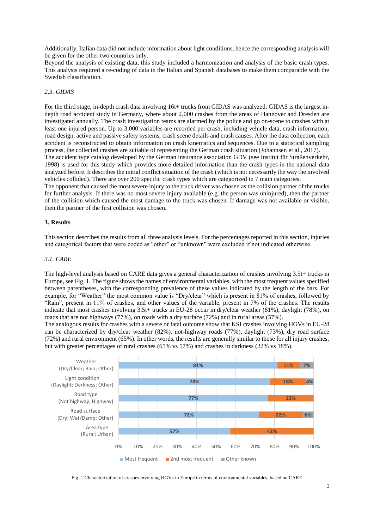Additionally, Italian data did not include information about light conditions, hence the corresponding analysis will be given for the other two countries only.

Beyond the analysis of existing data, this study included a harmonization and analysis of the basic crash types. This analysis required a re-coding of data in the Italian and Spanish databases to make them comparable with the Swedish classification.

## *2.3. GIDAS*

For the third stage, in-depth crash data involving 16t+ trucks from GIDAS was analyzed. GIDAS is the largest indepth road accident study in Germany, where about 2,000 crashes from the areas of Hannover and Dresden are investigated annually. The crash investigation teams are alarmed by the police and go on-scene to crashes with at least one injured person. Up to 3,000 variables are recorded per crash, including vehicle data, crash information, road design, active and passive safety systems, crash scene details and crash causes. After the data collection, each accident is reconstructed to obtain information on crash kinematics and sequences. Due to a statistical sampling process, the collected crashes are suitable of representing the German crash situation (Johannsen et al., 2017). The accident type catalog developed by the German insurance association GDV (see Institut für Straßenverkehr, 1998) is used for this study which provides more detailed information than the crash types in the national data analyzed before. It describes the initial conflict situation of the crash (which is not necessarily the way the involved vehicles collided). There are over 200 specific crash types which are categorized in 7 main categories. The opponent that caused the most severe injury to the truck driver was chosen as the collision partner of the trucks for further analysis. If there was no most severe injury available (e.g. the person was uninjured), then the partner

of the collision which caused the most damage to the truck was chosen. If damage was not available or visible, then the partner of the first collision was chosen.

## **3. Results**

This section describes the results from all three analysis levels. For the percentages reported in this section, injuries and categorical factors that were coded as "other" or "unknown" were excluded if not indicated otherwise.

## *3.1. CARE*

The high-level analysis based on CARE data gives a general characterization of crashes involving 3.5t+ trucks in Europe, se[e Fig.](#page-3-0) 1. The figure shows the names of environmental variables, with the most frequent values specified between parentheses, with the corresponding prevalence of these values indicated by the length of the bars. For example, for "Weather" the most common value is "Dry/clear" which is present in 81% of crashes, followed by "Rain", present in 11% of crashes, and other values of the variable, present in 7% of the crashes. The results indicate that most crashes involving 3.5t+ trucks in EU-28 occur in dry/clear weather (81%), daylight (78%), on roads that are not highways (77%), on roads with a dry surface (72%) and in rural areas (57%).

The analogous results for crashes with a severe or fatal outcome show that KSI crashes involving HGVs in EU-28 can be characterized by dry/clear weather (82%), not-highway roads (77%), daylight (73%), dry road surface (72%) and rural environment (65%). In other words, the results are generally similar to those for all injury crashes, but with greater percentages of rural crashes (65% vs 57%) and crashes in darkness (22% vs 18%).



<span id="page-3-0"></span>Fig. 1 Characterization of crashes involving HGVs in Europe in terms of environmental variables, based on CARE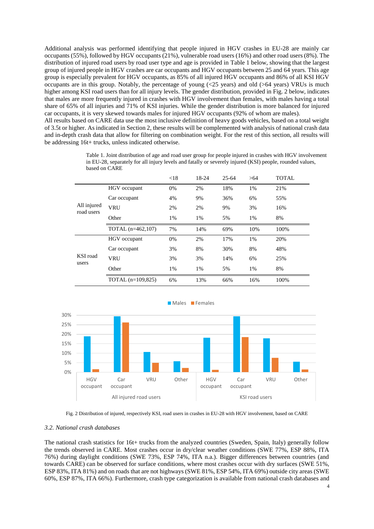Additional analysis was performed identifying that people injured in HGV crashes in EU-28 are mainly car occupants (55%), followed by HGV occupants (21%), vulnerable road users (16%) and other road users (8%). The distribution of injured road users by road user type and age is provided in [Table 1](#page-4-0) below, showing that the largest group of injured people in HGV crashes are car occupants and HGV occupants between 25 and 64 years. This age group is especially prevalent for HGV occupants, as 85% of all injured HGV occupants and 86% of all KSI HGV occupants are in this group. Notably, the percentage of young  $(\leq 25 \text{ years})$  and old  $(\geq 64 \text{ years})$  VRUs is much higher among KSI road users than for all injury levels. The gender distribution, provided i[n Fig. 2](#page-4-1) below, indicates that males are more frequently injured in crashes with HGV involvement than females, with males having a total share of 65% of all injuries and 71% of KSI injuries. While the gender distribution is more balanced for injured car occupants, it is very skewed towards males for injured HGV occupants (92% of whom are males). All results based on CARE data use the most inclusive definition of heavy goods vehicles, based on a total weight of 3.5t or higher. As indicated in Section 2, these results will be complemented with analysis of national crash data and in-depth crash data that allow for filtering on combination weight. For the rest of this section, all results will be addressing 16t+ trucks, unless indicated otherwise.

<span id="page-4-0"></span>

|                           |                     | < 18 | 18-24 | $25 - 64$ | >64 | <b>TOTAL</b> |
|---------------------------|---------------------|------|-------|-----------|-----|--------------|
| All injured<br>road users | HGV occupant        | 0%   | 2%    | 18%       | 1%  | 21%          |
|                           | Car occupant        | 4%   | 9%    | 36%       | 6%  | 55%          |
|                           | <b>VRU</b>          | 2%   | 2%    | 9%        | 3%  | 16%          |
|                           | Other               | 1%   | 1%    | 5%        | 1%  | 8%           |
|                           | TOTAL (n=462,107)   | 7%   | 14%   | 69%       | 10% | 100%         |
| KSI road<br>users         | HGV occupant        | 0%   | 2%    | 17%       | 1%  | 20%          |
|                           | Car occupant        | 3%   | 8%    | 30%       | 8%  | 48%          |
|                           | <b>VRU</b>          | 3%   | 3%    | 14%       | 6%  | 25%          |
|                           | Other               | 1%   | 1%    | 5%        | 1%  | 8%           |
|                           | TOTAL $(n=109,825)$ | 6%   | 13%   | 66%       | 16% | 100%         |

Table 1. Joint distribution of age and road user group for people injured in crashes with HGV involvement in EU-28, separately for all injury levels and fatally or severely injured (KSI) people, rounded values, based on CARE





#### <span id="page-4-1"></span>*3.2. National crash databases*

The national crash statistics for 16t+ trucks from the analyzed countries (Sweden, Spain, Italy) generally follow the trends observed in CARE. Most crashes occur in dry/clear weather conditions (SWE 77%, ESP 88%, ITA 76%) during daylight conditions (SWE 73%, ESP 74%, ITA n.a.). Bigger differences between countries (and towards CARE) can be observed for surface conditions, where most crashes occur with dry surfaces (SWE 51%, ESP 83%, ITA 81%) and on roads that are not highways (SWE 81%, ESP 54%, ITA 69%) outside city areas (SWE 60%, ESP 87%, ITA 66%). Furthermore, crash type categorization is available from national crash databases and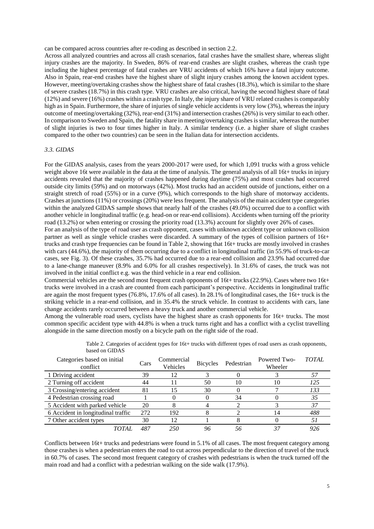can be compared across countries after re-coding as described in section [2.2.](#page-2-0)

Across all analyzed countries and across all crash scenarios, fatal crashes have the smallest share, whereas slight injury crashes are the majority. In Sweden, 86% of rear-end crashes are slight crashes, whereas the crash type including the highest percentage of fatal crashes are VRU accidents of which 16% have a fatal injury outcome. Also in Spain, rear-end crashes have the highest share of slight injury crashes among the known accident types. However, meeting/overtaking crashes show the highest share of fatal crashes (18.3%), which is similar to the share of severe crashes (18.7%) in this crash type. VRU crashes are also critical, having the second highest share of fatal (12%) and severe (16%) crashes within a crash type. In Italy, the injury share of VRU related crashes is comparably high as in Spain. Furthermore, the share of injuries of single vehicle accidents is very low (3%), whereas the injury outcome of meeting/overtaking (32%), rear-end (31%) and intersection crashes (26%) is very similar to each other. In comparison to Sweden and Spain, the fatality share in meeting/overtaking crashes is similar, whereas the number of slight injuries is two to four times higher in Italy. A similar tendency (i.e. a higher share of slight crashes compared to the other two countries) can be seen in the Italian data for intersection accidents.

# *3.3. GIDAS*

For the GIDAS analysis, cases from the years 2000-2017 were used, for which 1,091 trucks with a gross vehicle weight above 16t were available in the data at the time of analysis. The general analysis of all 16t+ trucks in injury accidents revealed that the majority of crashes happened during daytime (75%) and most crashes had occurred outside city limits (59%) and on motorways (42%). Most trucks had an accident outside of junctions, either on a straight stretch of road (55%) or in a curve (9%), which corresponds to the high share of motorway accidents. Crashes at junctions (11%) or crossings (20%) were less frequent. The analysis of the main accident type categories within the analyzed GIDAS sample shows that nearly half of the crashes (49.0%) occurred due to a conflict with another vehicle in longitudinal traffic (e.g. head-on or rear-end collisions). Accidents when turning off the priority road (13.2%) or when entering or crossing the priority road (13.3%) account for slightly over 26% of cases.

For an analysis of the type of road user as crash opponent, cases with unknown accident type or unknown collision partner as well as single vehicle crashes were discarded. A summary of the types of collision partners of 16t+ trucks and crash type frequencies can be found i[n Table 2,](#page-5-0) showing that 16t+ trucks are mostly involved in crashes with cars (44.6%), the majority of them occurring due to a conflict in longitudinal traffic (in 55.9% of truck-to-car cases, see [Fig. 3\)](#page-6-0). Of these crashes, 35.7% had occurred due to a rear-end collision and 23.9% had occurred due to a lane-change maneuver (8.9% and 6.0% for all crashes respectively). In 31.6% of cases, the truck was not involved in the initial conflict e.g. was the third vehicle in a rear end collision.

Commercial vehicles are the second most frequent crash opponents of 16t+ trucks (22.9%). Cases where two 16t+ trucks were involved in a crash are counted from each participant's perspective. Accidents in longitudinal traffic are again the most frequent types (76.8%, 17.6% of all cases). In 28.1% of longitudinal cases, the 16t+ truck is the striking vehicle in a rear-end collision, and in 35.4% the struck vehicle. In contrast to accidents with cars, lane change accidents rarely occurred between a heavy truck and another commercial vehicle.

Among the vulnerable road users, cyclists have the highest share as crash opponents for 16t+ trucks. The most common specific accident type with 44.8% is when a truck turns right and has a conflict with a cyclist travelling alongside in the same direction mostly on a bicycle path on the right side of the road.

<span id="page-5-0"></span>

| Categories based on initial<br>conflict | Cars | Commercial<br>Vehicles | <b>Bicycles</b> | Pedestrian | Powered Two-<br>Wheeler | TOTAL |
|-----------------------------------------|------|------------------------|-----------------|------------|-------------------------|-------|
| 1 Driving accident                      | 39   | 12                     |                 |            |                         |       |
| 2 Turning off accident                  | 44   |                        | 50              | 10         | 10                      | 125   |
| 3 Crossing/entering accident            | 81   | 5                      | 30              |            |                         | 133   |
| 4 Pedestrian crossing road              |      |                        |                 | 34         |                         | 35    |
| 5 Accident with parked vehicle          | 20   |                        |                 |            |                         | 37    |
| 6 Accident in longitudinal traffic      | 272  | 192                    |                 |            |                         | 488   |
| 7 Other accident types                  | 30   | 2                      |                 |            |                         |       |
| <b>TOTAI</b>                            | 487  | 250                    |                 |            |                         |       |

Table 2. Categories of accident types for 16t+ trucks with different types of road users as crash opponents, based on GIDAS

Conflicts between 16t+ trucks and pedestrians were found in 5.1% of all cases. The most frequent category among those crashes is when a pedestrian enters the road to cut across perpendicular to the direction of travel of the truck in 60.7% of cases. The second most frequent category of crashes with pedestrians is when the truck turned off the main road and had a conflict with a pedestrian walking on the side walk (17.9%).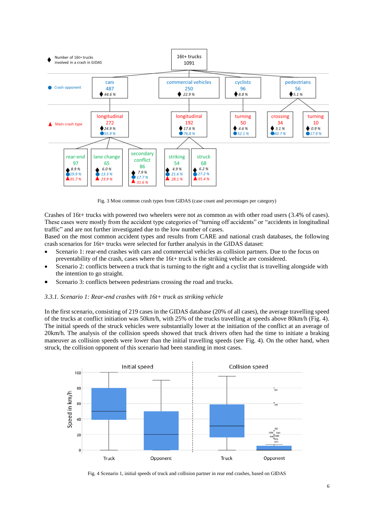

Fig. 3 Most common crash types from GIDAS (case count and percentages per category)

<span id="page-6-0"></span>Crashes of 16t+ trucks with powered two wheelers were not as common as with other road users (3.4% of cases). These cases were mostly from the accident type categories of "turning off accidents" or "accidents in longitudinal traffic" and are not further investigated due to the low number of cases.

Based on the most common accident types and results from CARE and national crash databases, the following crash scenarios for 16t+ trucks were selected for further analysis in the GIDAS dataset:

- Scenario 1: rear-end crashes with cars and commercial vehicles as collision partners. Due to the focus on preventability of the crash, cases where the 16t+ truck is the striking vehicle are considered.
- Scenario 2: conflicts between a truck that is turning to the right and a cyclist that is travelling alongside with the intention to go straight.
- Scenario 3: conflicts between pedestrians crossing the road and trucks.

### *3.3.1. Scenario 1: Rear-end crashes with 16t+ truck as striking vehicle*

In the first scenario, consisting of 219 cases in the GIDAS database (20% of all cases), the average travelling speed of the trucks at conflict initiation was 50km/h, with 25% of the trucks travelling at speeds above 80km/h [\(Fig.](#page-6-1) 4). The initial speeds of the struck vehicles were substantially lower at the initiation of the conflict at an average of 20km/h. The analysis of the collision speeds showed that truck drivers often had the time to initiate a braking maneuver as collision speeds were lower than the initial travelling speeds (see [Fig. 4\)](#page-6-1). On the other hand, when struck, the collision opponent of this scenario had been standing in most cases.



<span id="page-6-1"></span>Fig. 4 Scenario 1, initial speeds of truck and collision partner in rear end crashes, based on GIDAS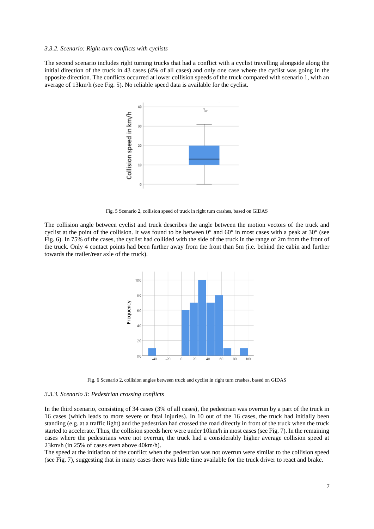## <span id="page-7-2"></span>*3.3.2. Scenario: Right-turn conflicts with cyclists*

The second scenario includes right turning trucks that had a conflict with a cyclist travelling alongside along the initial direction of the truck in 43 cases (4% of all cases) and only one case where the cyclist was going in the opposite direction. The conflicts occurred at lower collision speeds of the truck compared with scenario 1, with an average of 13km/h (see [Fig.](#page-7-0) 5). No reliable speed data is available for the cyclist.



Fig. 5 Scenario 2, collision speed of truck in right turn crashes, based on GIDAS

<span id="page-7-0"></span>The collision angle between cyclist and truck describes the angle between the motion vectors of the truck and cyclist at the point of the collision. It was found to be between  $0^{\circ}$  and  $60^{\circ}$  in most cases with a peak at  $30^{\circ}$  (see [Fig.](#page-7-1) 6). In 75% of the cases, the cyclist had collided with the side of the truck in the range of 2m from the front of the truck. Only 4 contact points had been further away from the front than 5m (i.e. behind the cabin and further towards the trailer/rear axle of the truck).



Fig. 6 Scenario 2, collision angles between truck and cyclist in right turn crashes, based on GIDAS

## <span id="page-7-1"></span>*3.3.3. Scenario 3: Pedestrian crossing conflicts*

In the third scenario, consisting of 34 cases (3% of all cases), the pedestrian was overrun by a part of the truck in 16 cases (which leads to more severe or fatal injuries). In 10 out of the 16 cases, the truck had initially been standing (e.g. at a traffic light) and the pedestrian had crossed the road directly in front of the truck when the truck started to accelerate. Thus, the collision speeds here were under 10km/h in most cases (se[e Fig. 7\)](#page-7-2). In the remaining cases where the pedestrians were not overrun, the truck had a considerably higher average collision speed at 23km/h (in 25% of cases even above 40km/h).

The speed at the initiation of the conflict when the pedestrian was not overrun were similar to the collision speed (see [Fig.](#page-7-2) 7), suggesting that in many cases there was little time available for the truck driver to react and brake.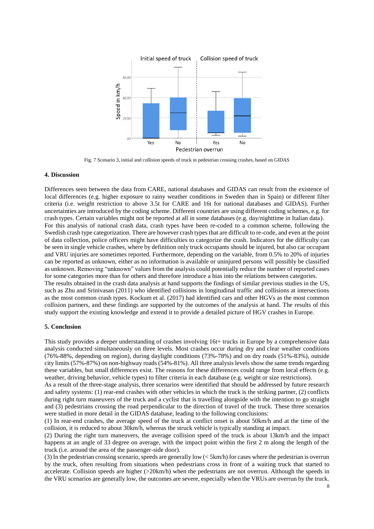

Fig. 7 Scenario 3, initial and collision speeds of truck in pedestrian crossing crashes, based on GIDAS

## **4. Discussion**

Differences seen between the data from CARE, national databases and GIDAS can result from the existence of local differences (e.g. higher exposure to rainy weather conditions in Sweden than in Spain) or different filter criteria (i.e. weight restriction to above 3.5t for CARE and 16t for national databases and GIDAS). Further uncertainties are introduced by the coding scheme. Different countries are using different coding schemes, e.g. for crash types. Certain variables might not be reported at all in some databases (e.g. day/nighttime in Italian data). For this analysis of national crash data, crash types have been re-coded to a common scheme, following the Swedish crash type categorization. There are however crash types that are difficult to re-code, and even at the point of data collection, police officers might have difficulties to categorize the crash. Indicators for the difficulty can be seen in single vehicle crashes, where by definition only truck occupants should be injured, but also car occupant and VRU injuries are sometimes reported. Furthermore, depending on the variable, from 0.5% to 20% of injuries can be reported as unknown, either as no information is available or uninjured persons will possibly be classified as unknown. Removing "unknown" values from the analysis could potentially reduce the number of reported cases for some categories more than for others and therefore introduce a bias into the relations between categories. The results obtained in the crash data analysis at hand supports the findings of similar previous studies in the US, such as Zhu and Srinivasan (2011) who identified collisions in longitudinal traffic and collisions at intersections as the most common crash types. Kockum et al. (2017) had identified cars and other HGVs as the most common collision partners, and these findings are supported by the outcomes of the analysis at hand. The results of this study support the existing knowledge and extend it to provide a detailed picture of HGV crashes in Europe.

# **5. Conclusion**

This study provides a deeper understanding of crashes involving 16t+ trucks in Europe by a comprehensive data analysis conducted simultaneously on three levels. Most crashes occur during dry and clear weather conditions (76%-88%, depending on region), during daylight conditions (73%-78%) and on dry roads (51%-83%), outside city limits (57%-87%) on non-highway roads (54%-81%). All three analysis levels show the same trends regarding these variables, but small differences exist. The reasons for these differences could range from local effects (e.g. weather, driving behavior, vehicle types) to filter criteria in each database (e.g. weight or size restrictions).

As a result of the three-stage analysis, three scenarios were identified that should be addressed by future research and safety systems: (1) rear-end crashes with other vehicles in which the truck is the striking partner, (2) conflicts during right turn maneuvers of the truck and a cyclist that is travelling alongside with the intention to go straight and (3) pedestrians crossing the road perpendicular to the direction of travel of the truck. These three scenarios were studied in more detail in the GIDAS database, leading to the following conclusions:

(1) In rear-end crashes, the average speed of the truck at conflict onset is about 50km/h and at the time of the collision, it is reduced to about 30km/h, whereas the struck vehicle is typically standing at impact.

(2) During the right turn maneuvers, the average collision speed of the truck is about 13km/h and the impact happens at an angle of 33 degree on average, with the impact point within the first 2 m along the length of the truck (i.e. around the area of the passenger-side door).

(3) In the pedestrian crossing scenario, speeds are generally low (< 5km/h) for cases where the pedestrian is overrun by the truck, often resulting from situations when pedestrians cross in front of a waiting truck that started to accelerate. Collision speeds are higher (>20km/h) when the pedestrians are not overrun. Although the speeds in the VRU scenarios are generally low, the outcomes are severe, especially when the VRUs are overrun by the truck.